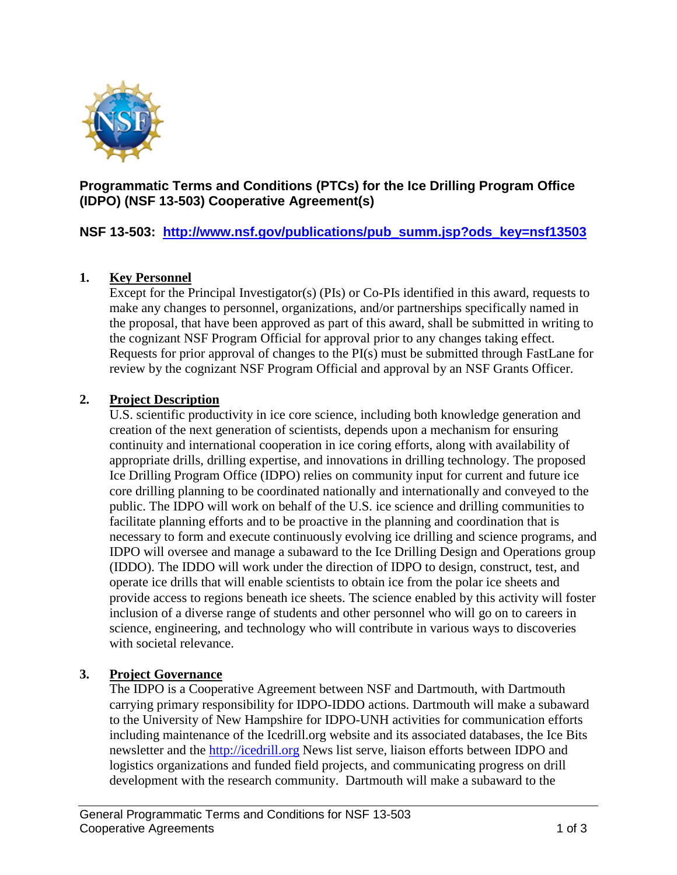

## **Programmatic Terms and Conditions (PTCs) for the Ice Drilling Program Office (IDPO) (NSF 13-503) Cooperative Agreement(s)**

## **NSF 13-503: [http://www.nsf.gov/publications/pub\\_summ.jsp?ods\\_key=nsf13503](http://www.nsf.gov/publications/pub_summ.jsp?ods_key=nsf13503)**

### **1. Key Personnel**

Except for the Principal Investigator(s) (PIs) or Co-PIs identified in this award, requests to make any changes to personnel, organizations, and/or partnerships specifically named in the proposal, that have been approved as part of this award, shall be submitted in writing to the cognizant NSF Program Official for approval prior to any changes taking effect. Requests for prior approval of changes to the PI(s) must be submitted through FastLane for review by the cognizant NSF Program Official and approval by an NSF Grants Officer.

#### **2. Project Description**

U.S. scientific productivity in ice core science, including both knowledge generation and creation of the next generation of scientists, depends upon a mechanism for ensuring continuity and international cooperation in ice coring efforts, along with availability of appropriate drills, drilling expertise, and innovations in drilling technology. The proposed Ice Drilling Program Office (IDPO) relies on community input for current and future ice core drilling planning to be coordinated nationally and internationally and conveyed to the public. The IDPO will work on behalf of the U.S. ice science and drilling communities to facilitate planning efforts and to be proactive in the planning and coordination that is necessary to form and execute continuously evolving ice drilling and science programs, and IDPO will oversee and manage a subaward to the Ice Drilling Design and Operations group (IDDO). The IDDO will work under the direction of IDPO to design, construct, test, and operate ice drills that will enable scientists to obtain ice from the polar ice sheets and provide access to regions beneath ice sheets. The science enabled by this activity will foster inclusion of a diverse range of students and other personnel who will go on to careers in science, engineering, and technology who will contribute in various ways to discoveries with societal relevance.

#### **3. Project Governance**

The IDPO is a Cooperative Agreement between NSF and Dartmouth, with Dartmouth carrying primary responsibility for IDPO-IDDO actions. Dartmouth will make a subaward to the University of New Hampshire for IDPO-UNH activities for communication efforts including maintenance of the Icedrill.org website and its associated databases, the Ice Bits newsletter and the [http://icedrill.org](http://icedrill.org/) News list serve, liaison efforts between IDPO and logistics organizations and funded field projects, and communicating progress on drill development with the research community. Dartmouth will make a subaward to the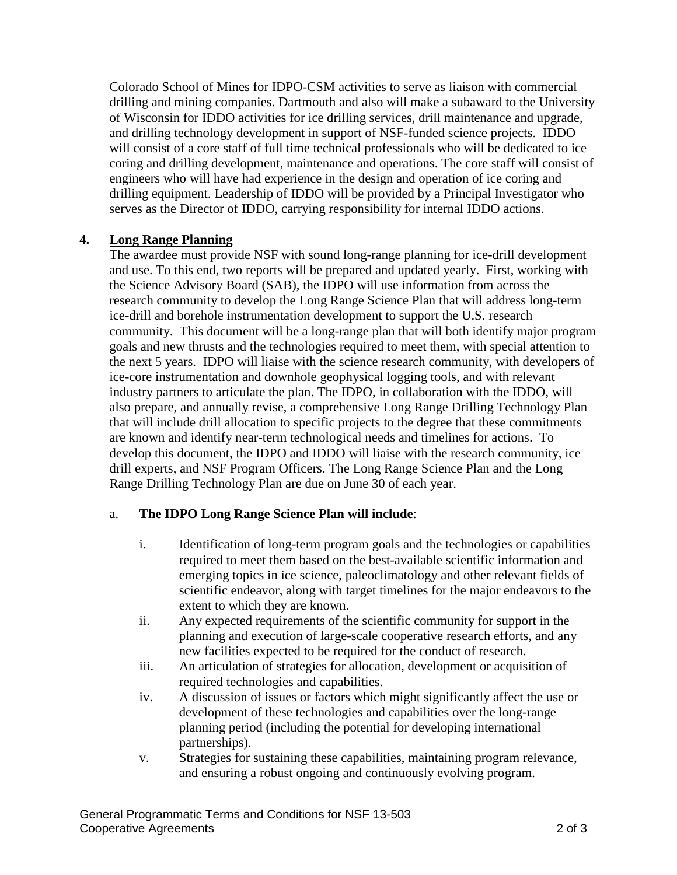Colorado School of Mines for IDPO-CSM activities to serve as liaison with commercial drilling and mining companies. Dartmouth and also will make a subaward to the University of Wisconsin for IDDO activities for ice drilling services, drill maintenance and upgrade, and drilling technology development in support of NSF-funded science projects. IDDO will consist of a core staff of full time technical professionals who will be dedicated to ice coring and drilling development, maintenance and operations. The core staff will consist of engineers who will have had experience in the design and operation of ice coring and drilling equipment. Leadership of IDDO will be provided by a Principal Investigator who serves as the Director of IDDO, carrying responsibility for internal IDDO actions.

### **4. Long Range Planning**

The awardee must provide NSF with sound long-range planning for ice-drill development and use. To this end, two reports will be prepared and updated yearly. First, working with the Science Advisory Board (SAB), the IDPO will use information from across the research community to develop the Long Range Science Plan that will address long-term ice-drill and borehole instrumentation development to support the U.S. research community. This document will be a long-range plan that will both identify major program goals and new thrusts and the technologies required to meet them, with special attention to the next 5 years. IDPO will liaise with the science research community, with developers of ice-core instrumentation and downhole geophysical logging tools, and with relevant industry partners to articulate the plan. The IDPO, in collaboration with the IDDO, will also prepare, and annually revise, a comprehensive Long Range Drilling Technology Plan that will include drill allocation to specific projects to the degree that these commitments are known and identify near-term technological needs and timelines for actions. To develop this document, the IDPO and IDDO will liaise with the research community, ice drill experts, and NSF Program Officers. The Long Range Science Plan and the Long Range Drilling Technology Plan are due on June 30 of each year.

## a. **The IDPO Long Range Science Plan will include**:

- i. Identification of long-term program goals and the technologies or capabilities required to meet them based on the best-available scientific information and emerging topics in ice science, paleoclimatology and other relevant fields of scientific endeavor, along with target timelines for the major endeavors to the extent to which they are known.
- ii. Any expected requirements of the scientific community for support in the planning and execution of large-scale cooperative research efforts, and any new facilities expected to be required for the conduct of research.
- iii. An articulation of strategies for allocation, development or acquisition of required technologies and capabilities.
- iv. A discussion of issues or factors which might significantly affect the use or development of these technologies and capabilities over the long-range planning period (including the potential for developing international partnerships).
- v. Strategies for sustaining these capabilities, maintaining program relevance, and ensuring a robust ongoing and continuously evolving program.